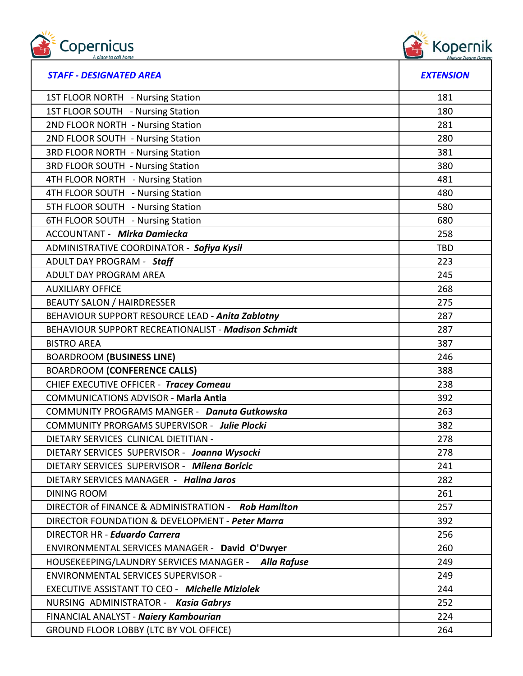



| <b>STAFF - DESIGNATED AREA</b>                                | <b>EXTENSION</b> |
|---------------------------------------------------------------|------------------|
| 1ST FLOOR NORTH - Nursing Station                             | 181              |
| 1ST FLOOR SOUTH - Nursing Station                             | 180              |
| 2ND FLOOR NORTH - Nursing Station                             | 281              |
| 2ND FLOOR SOUTH - Nursing Station                             | 280              |
| <b>3RD FLOOR NORTH - Nursing Station</b>                      | 381              |
| <b>3RD FLOOR SOUTH - Nursing Station</b>                      | 380              |
| 4TH FLOOR NORTH - Nursing Station                             | 481              |
| 4TH FLOOR SOUTH - Nursing Station                             | 480              |
| 5TH FLOOR SOUTH - Nursing Station                             | 580              |
| 6TH FLOOR SOUTH - Nursing Station                             | 680              |
| <b>ACCOUNTANT - Mirka Damiecka</b>                            | 258              |
| ADMINISTRATIVE COORDINATOR - Sofiya Kysil                     | <b>TBD</b>       |
| ADULT DAY PROGRAM - Staff                                     | 223              |
| ADULT DAY PROGRAM AREA                                        | 245              |
| <b>AUXILIARY OFFICE</b>                                       | 268              |
| <b>BEAUTY SALON / HAIRDRESSER</b>                             | 275              |
| BEHAVIOUR SUPPORT RESOURCE LEAD - Anita Zablotny              | 287              |
| BEHAVIOUR SUPPORT RECREATIONALIST - Madison Schmidt           | 287              |
| <b>BISTRO AREA</b>                                            | 387              |
| <b>BOARDROOM (BUSINESS LINE)</b>                              | 246              |
| <b>BOARDROOM (CONFERENCE CALLS)</b>                           | 388              |
| CHIEF EXECUTIVE OFFICER - Tracey Comeau                       | 238              |
| <b>COMMUNICATIONS ADVISOR - Marla Antia</b>                   | 392              |
| <b>COMMUNITY PROGRAMS MANGER - Danuta Gutkowska</b>           | 263              |
| <b>COMMUNITY PRORGAMS SUPERVISOR - Julie Plocki</b>           | 382              |
| DIETARY SERVICES CLINICAL DIETITIAN -                         | 278              |
| DIETARY SERVICES SUPERVISOR - Joanna Wysocki                  | 278              |
| DIETARY SERVICES SUPERVISOR - Milena Boricic                  | 241              |
| DIETARY SERVICES MANAGER - Halina Jaros                       | 282              |
| <b>DINING ROOM</b>                                            | 261              |
| DIRECTOR of FINANCE & ADMINISTRATION - Rob Hamilton           | 257              |
| DIRECTOR FOUNDATION & DEVELOPMENT - Peter Marra               | 392              |
| DIRECTOR HR - Eduardo Carrera                                 | 256              |
| ENVIRONMENTAL SERVICES MANAGER - David O'Dwyer                | 260              |
| HOUSEKEEPING/LAUNDRY SERVICES MANAGER -<br><b>Alla Rafuse</b> | 249              |
| ENVIRONMENTAL SERVICES SUPERVISOR -                           | 249              |
| <b>EXECUTIVE ASSISTANT TO CEO - Michelle Miziolek</b>         | 244              |
| NURSING ADMINISTRATOR - Kasia Gabrys                          | 252              |
| FINANCIAL ANALYST - Naiery Kambourian                         | 224              |
| GROUND FLOOR LOBBY (LTC BY VOL OFFICE)                        | 264              |